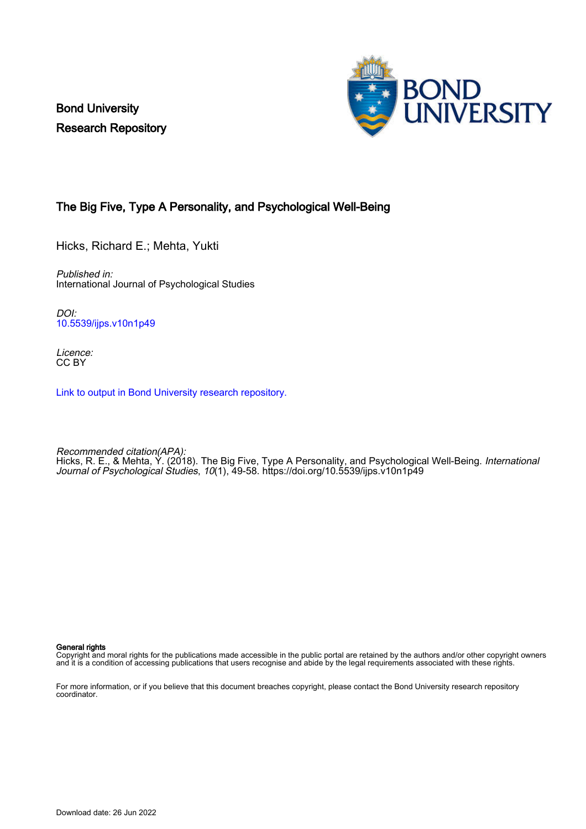Bond University Research Repository



## The Big Five, Type A Personality, and Psychological Well-Being

Hicks, Richard E.; Mehta, Yukti

Published in: International Journal of Psychological Studies

DOI: [10.5539/ijps.v10n1p49](https://doi.org/10.5539/ijps.v10n1p49)

Licence: CC BY

[Link to output in Bond University research repository.](https://research.bond.edu.au/en/publications/6fdf1ac8-7a2b-4cee-be25-301f665551bb)

Recommended citation(APA): Hicks, R. E., & Mehta, Y. (2018). The Big Five, Type A Personality, and Psychological Well-Being. *International* Journal of Psychological Studies, 10(1), 49-58.<https://doi.org/10.5539/ijps.v10n1p49>

General rights

Copyright and moral rights for the publications made accessible in the public portal are retained by the authors and/or other copyright owners and it is a condition of accessing publications that users recognise and abide by the legal requirements associated with these rights.

For more information, or if you believe that this document breaches copyright, please contact the Bond University research repository coordinator.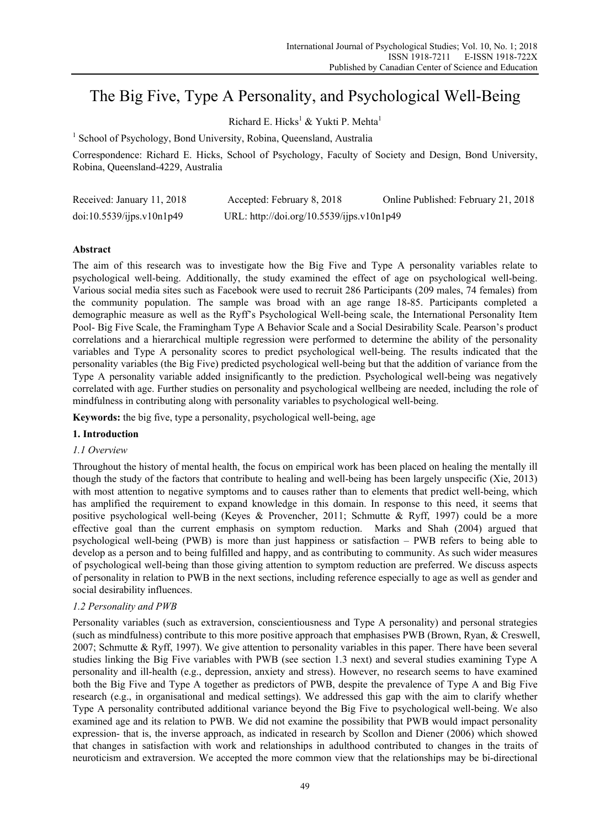# The Big Five, Type A Personality, and Psychological Well-Being

Richard E. Hicks<sup>1</sup> & Yukti P. Mehta<sup>1</sup>

<sup>1</sup> School of Psychology, Bond University, Robina, Queensland, Australia

Correspondence: Richard E. Hicks, School of Psychology, Faculty of Society and Design, Bond University, Robina, Queensland-4229, Australia

| Received: January 11, 2018 | Accepted: February 8, 2018                | Online Published: February 21, 2018 |
|----------------------------|-------------------------------------------|-------------------------------------|
| doi:10.5539/ijps.v10n1p49  | URL: http://doi.org/10.5539/ijps.v10n1p49 |                                     |

## **Abstract**

The aim of this research was to investigate how the Big Five and Type A personality variables relate to psychological well-being. Additionally, the study examined the effect of age on psychological well-being. Various social media sites such as Facebook were used to recruit 286 Participants (209 males, 74 females) from the community population. The sample was broad with an age range 18-85. Participants completed a demographic measure as well as the Ryff's Psychological Well-being scale, the International Personality Item Pool- Big Five Scale, the Framingham Type A Behavior Scale and a Social Desirability Scale. Pearson's product correlations and a hierarchical multiple regression were performed to determine the ability of the personality variables and Type A personality scores to predict psychological well-being. The results indicated that the personality variables (the Big Five) predicted psychological well-being but that the addition of variance from the Type A personality variable added insignificantly to the prediction. Psychological well-being was negatively correlated with age. Further studies on personality and psychological wellbeing are needed, including the role of mindfulness in contributing along with personality variables to psychological well-being.

**Keywords:** the big five, type a personality, psychological well-being, age

## **1. Introduction**

## *1.1 Overview*

Throughout the history of mental health, the focus on empirical work has been placed on healing the mentally ill though the study of the factors that contribute to healing and well-being has been largely unspecific (Xie, 2013) with most attention to negative symptoms and to causes rather than to elements that predict well-being, which has amplified the requirement to expand knowledge in this domain. In response to this need, it seems that positive psychological well-being (Keyes & Provencher, 2011; Schmutte & Ryff, 1997) could be a more effective goal than the current emphasis on symptom reduction. Marks and Shah (2004) argued that psychological well-being (PWB) is more than just happiness or satisfaction – PWB refers to being able to develop as a person and to being fulfilled and happy, and as contributing to community. As such wider measures of psychological well-being than those giving attention to symptom reduction are preferred. We discuss aspects of personality in relation to PWB in the next sections, including reference especially to age as well as gender and social desirability influences.

## *1.2 Personality and PWB*

Personality variables (such as extraversion, conscientiousness and Type A personality) and personal strategies (such as mindfulness) contribute to this more positive approach that emphasises PWB (Brown, Ryan, & Creswell, 2007; Schmutte & Ryff, 1997). We give attention to personality variables in this paper. There have been several studies linking the Big Five variables with PWB (see section 1.3 next) and several studies examining Type A personality and ill-health (e.g., depression, anxiety and stress). However, no research seems to have examined both the Big Five and Type A together as predictors of PWB, despite the prevalence of Type A and Big Five research (e.g., in organisational and medical settings). We addressed this gap with the aim to clarify whether Type A personality contributed additional variance beyond the Big Five to psychological well-being. We also examined age and its relation to PWB. We did not examine the possibility that PWB would impact personality expression- that is, the inverse approach, as indicated in research by Scollon and Diener (2006) which showed that changes in satisfaction with work and relationships in adulthood contributed to changes in the traits of neuroticism and extraversion. We accepted the more common view that the relationships may be bi-directional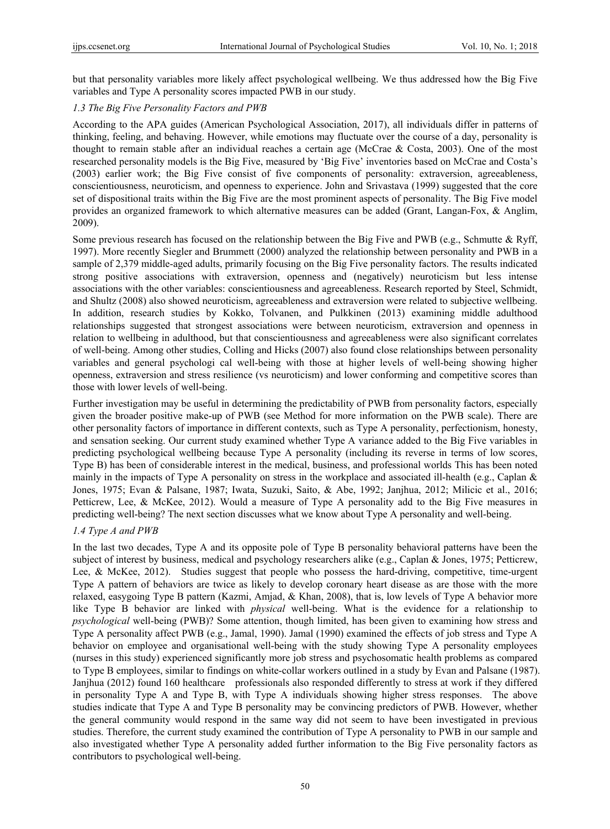but that personality variables more likely affect psychological wellbeing. We thus addressed how the Big Five variables and Type A personality scores impacted PWB in our study.

### *1.3 The Big Five Personality Factors and PWB*

According to the APA guides (American Psychological Association, 2017), all individuals differ in patterns of thinking, feeling, and behaving. However, while emotions may fluctuate over the course of a day, personality is thought to remain stable after an individual reaches a certain age (McCrae & Costa, 2003). One of the most researched personality models is the Big Five, measured by 'Big Five' inventories based on McCrae and Costa's (2003) earlier work; the Big Five consist of five components of personality: extraversion, agreeableness, conscientiousness, neuroticism, and openness to experience. John and Srivastava (1999) suggested that the core set of dispositional traits within the Big Five are the most prominent aspects of personality. The Big Five model provides an organized framework to which alternative measures can be added (Grant, Langan-Fox, & Anglim, 2009).

Some previous research has focused on the relationship between the Big Five and PWB (e.g., Schmutte & Ryff, 1997). More recently Siegler and Brummett (2000) analyzed the relationship between personality and PWB in a sample of 2,379 middle-aged adults, primarily focusing on the Big Five personality factors. The results indicated strong positive associations with extraversion, openness and (negatively) neuroticism but less intense associations with the other variables: conscientiousness and agreeableness. Research reported by Steel, Schmidt, and Shultz (2008) also showed neuroticism, agreeableness and extraversion were related to subjective wellbeing. In addition, research studies by Kokko, Tolvanen, and Pulkkinen (2013) examining middle adulthood relationships suggested that strongest associations were between neuroticism, extraversion and openness in relation to wellbeing in adulthood, but that conscientiousness and agreeableness were also significant correlates of well-being. Among other studies, Colling and Hicks (2007) also found close relationships between personality variables and general psychologi cal well-being with those at higher levels of well-being showing higher openness, extraversion and stress resilience (vs neuroticism) and lower conforming and competitive scores than those with lower levels of well-being.

Further investigation may be useful in determining the predictability of PWB from personality factors, especially given the broader positive make-up of PWB (see Method for more information on the PWB scale). There are other personality factors of importance in different contexts, such as Type A personality, perfectionism, honesty, and sensation seeking. Our current study examined whether Type A variance added to the Big Five variables in predicting psychological wellbeing because Type A personality (including its reverse in terms of low scores, Type B) has been of considerable interest in the medical, business, and professional worlds This has been noted mainly in the impacts of Type A personality on stress in the workplace and associated ill-health (e.g., Caplan  $\&$ Jones, 1975; Evan & Palsane, 1987; Iwata, Suzuki, Saito, & Abe, 1992; Janjhua, 2012; Milicic et al., 2016; Petticrew, Lee, & McKee, 2012). Would a measure of Type A personality add to the Big Five measures in predicting well-being? The next section discusses what we know about Type A personality and well-being.

#### *1.4 Type A and PWB*

In the last two decades, Type A and its opposite pole of Type B personality behavioral patterns have been the subject of interest by business, medical and psychology researchers alike (e.g., Caplan & Jones, 1975; Petticrew, Lee, & McKee, 2012). Studies suggest that people who possess the hard-driving, competitive, time-urgent Type A pattern of behaviors are twice as likely to develop coronary heart disease as are those with the more relaxed, easygoing Type B pattern (Kazmi, Amjad, & Khan, 2008), that is, low levels of Type A behavior more like Type B behavior are linked with *physical* well-being. What is the evidence for a relationship to *psychological* well-being (PWB)? Some attention, though limited, has been given to examining how stress and Type A personality affect PWB (e.g., Jamal, 1990). Jamal (1990) examined the effects of job stress and Type A behavior on employee and organisational well-being with the study showing Type A personality employees (nurses in this study) experienced significantly more job stress and psychosomatic health problems as compared to Type B employees, similar to findings on white-collar workers outlined in a study by Evan and Palsane (1987). Janjhua (2012) found 160 healthcare professionals also responded differently to stress at work if they differed in personality Type A and Type B, with Type A individuals showing higher stress responses. The above studies indicate that Type A and Type B personality may be convincing predictors of PWB. However, whether the general community would respond in the same way did not seem to have been investigated in previous studies. Therefore, the current study examined the contribution of Type A personality to PWB in our sample and also investigated whether Type A personality added further information to the Big Five personality factors as contributors to psychological well-being.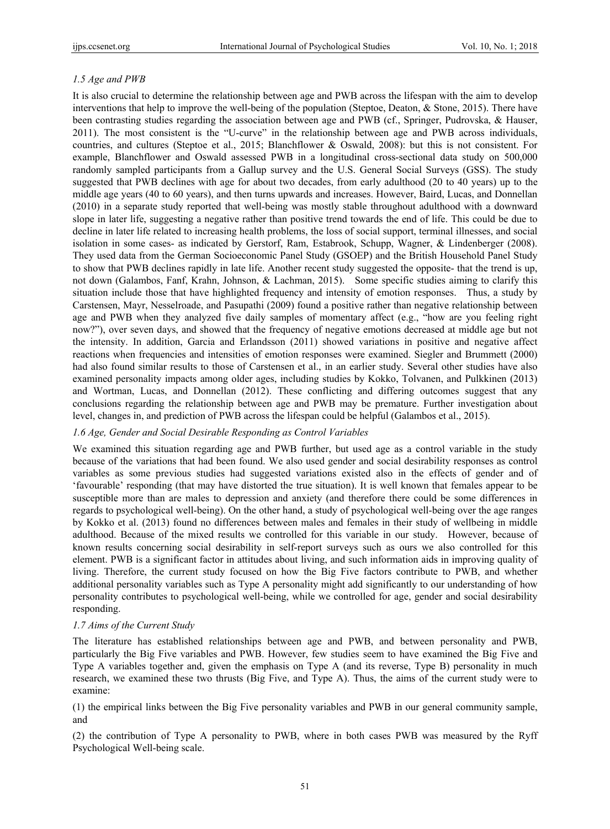#### *1.5 Age and PWB*

It is also crucial to determine the relationship between age and PWB across the lifespan with the aim to develop interventions that help to improve the well-being of the population (Steptoe, Deaton, & Stone, 2015). There have been contrasting studies regarding the association between age and PWB (cf., Springer, Pudrovska, & Hauser, 2011). The most consistent is the "U-curve" in the relationship between age and PWB across individuals, countries, and cultures (Steptoe et al., 2015; Blanchflower & Oswald, 2008): but this is not consistent. For example, Blanchflower and Oswald assessed PWB in a longitudinal cross-sectional data study on 500,000 randomly sampled participants from a Gallup survey and the U.S. General Social Surveys (GSS). The study suggested that PWB declines with age for about two decades, from early adulthood (20 to 40 years) up to the middle age years (40 to 60 years), and then turns upwards and increases. However, Baird, Lucas, and Donnellan (2010) in a separate study reported that well-being was mostly stable throughout adulthood with a downward slope in later life, suggesting a negative rather than positive trend towards the end of life. This could be due to decline in later life related to increasing health problems, the loss of social support, terminal illnesses, and social isolation in some cases- as indicated by Gerstorf, Ram, Estabrook, Schupp, Wagner, & Lindenberger (2008). They used data from the German Socioeconomic Panel Study (GSOEP) and the British Household Panel Study to show that PWB declines rapidly in late life. Another recent study suggested the opposite- that the trend is up, not down (Galambos, Fanf, Krahn, Johnson, & Lachman, 2015). Some specific studies aiming to clarify this situation include those that have highlighted frequency and intensity of emotion responses. Thus, a study by Carstensen, Mayr, Nesselroade, and Pasupathi (2009) found a positive rather than negative relationship between age and PWB when they analyzed five daily samples of momentary affect (e.g., "how are you feeling right now?"), over seven days, and showed that the frequency of negative emotions decreased at middle age but not the intensity. In addition, Garcia and Erlandsson (2011) showed variations in positive and negative affect reactions when frequencies and intensities of emotion responses were examined. Siegler and Brummett (2000) had also found similar results to those of Carstensen et al., in an earlier study. Several other studies have also examined personality impacts among older ages, including studies by Kokko, Tolvanen, and Pulkkinen (2013) and Wortman, Lucas, and Donnellan (2012). These conflicting and differing outcomes suggest that any conclusions regarding the relationship between age and PWB may be premature. Further investigation about level, changes in, and prediction of PWB across the lifespan could be helpful (Galambos et al., 2015).

#### *1.6 Age, Gender and Social Desirable Responding as Control Variables*

We examined this situation regarding age and PWB further, but used age as a control variable in the study because of the variations that had been found. We also used gender and social desirability responses as control variables as some previous studies had suggested variations existed also in the effects of gender and of 'favourable' responding (that may have distorted the true situation). It is well known that females appear to be susceptible more than are males to depression and anxiety (and therefore there could be some differences in regards to psychological well-being). On the other hand, a study of psychological well-being over the age ranges by Kokko et al. (2013) found no differences between males and females in their study of wellbeing in middle adulthood. Because of the mixed results we controlled for this variable in our study. However, because of known results concerning social desirability in self-report surveys such as ours we also controlled for this element. PWB is a significant factor in attitudes about living, and such information aids in improving quality of living. Therefore, the current study focused on how the Big Five factors contribute to PWB, and whether additional personality variables such as Type A personality might add significantly to our understanding of how personality contributes to psychological well-being, while we controlled for age, gender and social desirability responding.

## *1.7 Aims of the Current Study*

The literature has established relationships between age and PWB, and between personality and PWB, particularly the Big Five variables and PWB. However, few studies seem to have examined the Big Five and Type A variables together and, given the emphasis on Type A (and its reverse, Type B) personality in much research, we examined these two thrusts (Big Five, and Type A). Thus, the aims of the current study were to examine:

(1) the empirical links between the Big Five personality variables and PWB in our general community sample, and

(2) the contribution of Type A personality to PWB, where in both cases PWB was measured by the Ryff Psychological Well-being scale.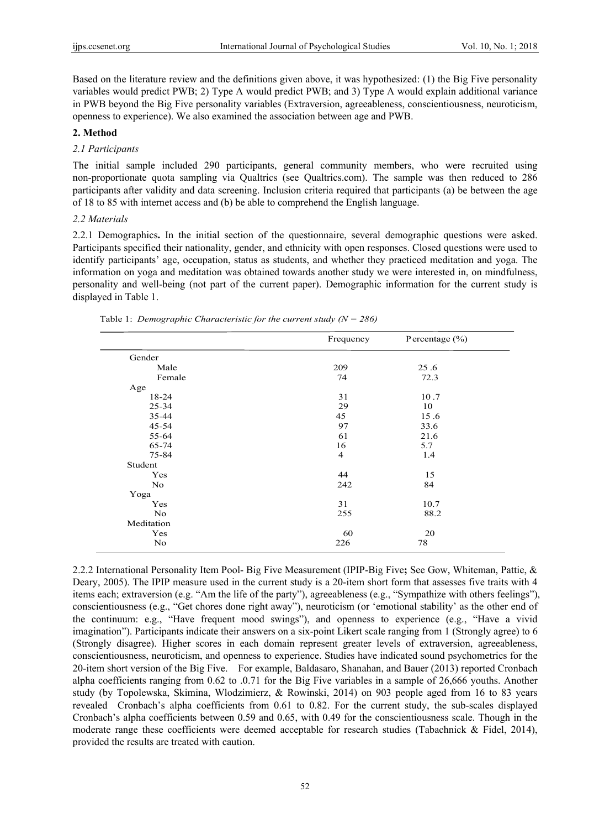Based on the literature review and the definitions given above, it was hypothesized: (1) the Big Five personality variables would predict PWB; 2) Type A would predict PWB; and 3) Type A would explain additional variance in PWB beyond the Big Five personality variables (Extraversion, agreeableness, conscientiousness, neuroticism, openness to experience). We also examined the association between age and PWB.

#### **2. Method**

#### *2.1 Participants*

The initial sample included 290 participants, general community members, who were recruited using non-proportionate quota sampling via Qualtrics (see Qualtrics.com). The sample was then reduced to 286 participants after validity and data screening. Inclusion criteria required that participants (a) be between the age of 18 to 85 with internet access and (b) be able to comprehend the English language.

#### *2.2 Materials*

2.2.1 Demographics**.** In the initial section of the questionnaire, several demographic questions were asked. Participants specified their nationality, gender, and ethnicity with open responses. Closed questions were used to identify participants' age, occupation, status as students, and whether they practiced meditation and yoga. The information on yoga and meditation was obtained towards another study we were interested in, on mindfulness, personality and well-being (not part of the current paper). Demographic information for the current study is displayed in Table 1.

|  |  | Table 1: Demographic Characteristic for the current study ( $N = 286$ ) |
|--|--|-------------------------------------------------------------------------|
|--|--|-------------------------------------------------------------------------|

|            | Frequency      | Percentage $(\% )$ |
|------------|----------------|--------------------|
| Gender     |                |                    |
| Male       | 209            | 25.6               |
| Female     | 74             | 72.3               |
| Age        |                |                    |
| 18-24      | 31             | 10.7               |
| 25-34      | 29             | 10                 |
| 35-44      | 45             | 15.6               |
| 45-54      | 97             | 33.6               |
| 55-64      | 61             | 21.6               |
| 65-74      | 16             | 5.7                |
| 75-84      | $\overline{4}$ | 1.4                |
| Student    |                |                    |
| Yes        | 44             | 15                 |
| No         | 242            | 84                 |
| Yoga       |                |                    |
| Yes        | 31             | 10.7               |
| No         | 255            | 88.2               |
| Meditation |                |                    |
| Yes        | 60             | 20                 |
| No         | 226            | 78                 |

2.2.2 International Personality Item Pool- Big Five Measurement (IPIP-Big Five**;** See Gow, Whiteman, Pattie, & Deary, 2005). The IPIP measure used in the current study is a 20-item short form that assesses five traits with 4 items each; extraversion (e.g. "Am the life of the party"), agreeableness (e.g., "Sympathize with others feelings"), conscientiousness (e.g., "Get chores done right away"), neuroticism (or 'emotional stability' as the other end of the continuum: e.g., "Have frequent mood swings"), and openness to experience (e.g., "Have a vivid imagination"). Participants indicate their answers on a six-point Likert scale ranging from 1 (Strongly agree) to 6 (Strongly disagree). Higher scores in each domain represent greater levels of extraversion, agreeableness, conscientiousness, neuroticism, and openness to experience. Studies have indicated sound psychometrics for the 20-item short version of the Big Five. For example, Baldasaro, Shanahan, and Bauer (2013) reported Cronbach alpha coefficients ranging from 0.62 to .0.71 for the Big Five variables in a sample of 26,666 youths. Another study (by Topolewska, Skimina, Wlodzimierz, & Rowinski, 2014) on 903 people aged from 16 to 83 years revealed Cronbach's alpha coefficients from 0.61 to 0.82. For the current study, the sub-scales displayed Cronbach's alpha coefficients between 0.59 and 0.65, with 0.49 for the conscientiousness scale. Though in the moderate range these coefficients were deemed acceptable for research studies (Tabachnick & Fidel, 2014), provided the results are treated with caution.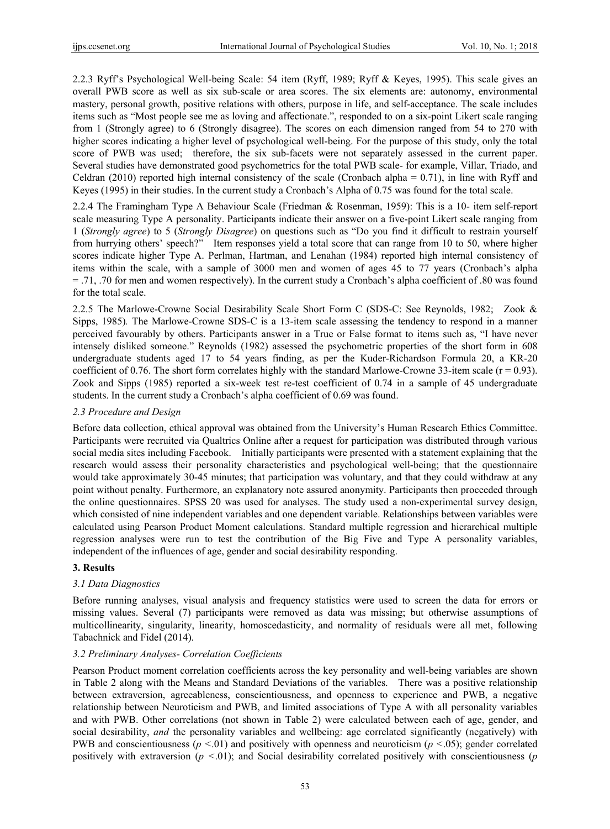2.2.3 Ryff's Psychological Well-being Scale: 54 item (Ryff, 1989; Ryff & Keyes, 1995). This scale gives an overall PWB score as well as six sub-scale or area scores. The six elements are: autonomy, environmental mastery, personal growth, positive relations with others, purpose in life, and self-acceptance. The scale includes items such as "Most people see me as loving and affectionate.", responded to on a six-point Likert scale ranging from 1 (Strongly agree) to 6 (Strongly disagree). The scores on each dimension ranged from 54 to 270 with higher scores indicating a higher level of psychological well-being. For the purpose of this study, only the total score of PWB was used; therefore, the six sub-facets were not separately assessed in the current paper. Several studies have demonstrated good psychometrics for the total PWB scale- for example, Villar, Triado, and Celdran (2010) reported high internal consistency of the scale (Cronbach alpha  $= 0.71$ ), in line with Ryff and Keyes (1995) in their studies. In the current study a Cronbach's Alpha of 0.75 was found for the total scale.

2.2.4 The Framingham Type A Behaviour Scale (Friedman & Rosenman, 1959): This is a 10- item self-report scale measuring Type A personality. Participants indicate their answer on a five-point Likert scale ranging from 1 (*Strongly agree*) to 5 (*Strongly Disagree*) on questions such as "Do you find it difficult to restrain yourself from hurrying others' speech?" Item responses yield a total score that can range from 10 to 50, where higher scores indicate higher Type A. Perlman, Hartman, and Lenahan (1984) reported high internal consistency of items within the scale, with a sample of 3000 men and women of ages 45 to 77 years (Cronbach's alpha = .71, .70 for men and women respectively). In the current study a Cronbach's alpha coefficient of .80 was found for the total scale.

2.2.5 The Marlowe-Crowne Social Desirability Scale Short Form C (SDS-C: See Reynolds, 1982; Zook & Sipps, 1985)*.* The Marlowe-Crowne SDS-C is a 13-item scale assessing the tendency to respond in a manner perceived favourably by others. Participants answer in a True or False format to items such as, "I have never intensely disliked someone." Reynolds (1982) assessed the psychometric properties of the short form in 608 undergraduate students aged 17 to 54 years finding, as per the Kuder-Richardson Formula 20, a KR-20 coefficient of 0.76. The short form correlates highly with the standard Marlowe-Crowne 33-item scale ( $r = 0.93$ ). Zook and Sipps (1985) reported a six-week test re-test coefficient of 0.74 in a sample of 45 undergraduate students. In the current study a Cronbach's alpha coefficient of 0.69 was found.

#### *2.3 Procedure and Design*

Before data collection, ethical approval was obtained from the University's Human Research Ethics Committee. Participants were recruited via Qualtrics Online after a request for participation was distributed through various social media sites including Facebook. Initially participants were presented with a statement explaining that the research would assess their personality characteristics and psychological well-being; that the questionnaire would take approximately 30-45 minutes; that participation was voluntary, and that they could withdraw at any point without penalty. Furthermore, an explanatory note assured anonymity. Participants then proceeded through the online questionnaires. SPSS 20 was used for analyses. The study used a non-experimental survey design, which consisted of nine independent variables and one dependent variable. Relationships between variables were calculated using Pearson Product Moment calculations. Standard multiple regression and hierarchical multiple regression analyses were run to test the contribution of the Big Five and Type A personality variables, independent of the influences of age, gender and social desirability responding.

#### **3. Results**

#### *3.1 Data Diagnostics*

Before running analyses, visual analysis and frequency statistics were used to screen the data for errors or missing values. Several (7) participants were removed as data was missing; but otherwise assumptions of multicollinearity, singularity, linearity, homoscedasticity, and normality of residuals were all met, following Tabachnick and Fidel (2014).

#### *3.2 Preliminary Analyses- Correlation Coefficients*

Pearson Product moment correlation coefficients across the key personality and well-being variables are shown in Table 2 along with the Means and Standard Deviations of the variables. There was a positive relationship between extraversion, agreeableness, conscientiousness, and openness to experience and PWB, a negative relationship between Neuroticism and PWB, and limited associations of Type A with all personality variables and with PWB. Other correlations (not shown in Table 2) were calculated between each of age, gender, and social desirability, *and* the personality variables and wellbeing: age correlated significantly (negatively) with PWB and conscientiousness (*p <*.01) and positively with openness and neuroticism (*p <*.05); gender correlated positively with extraversion (*p <*.01); and Social desirability correlated positively with conscientiousness (*p*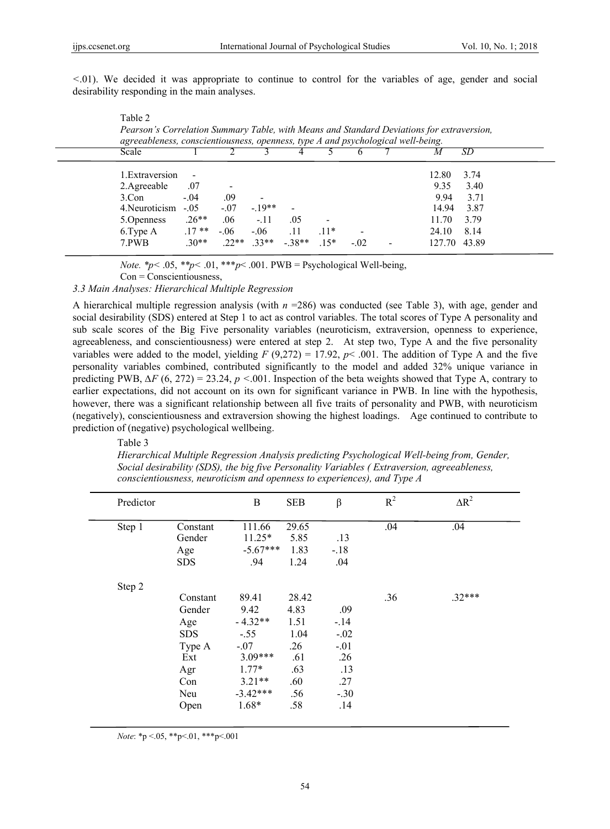*<*.01). We decided it was appropriate to continue to control for the variables of age, gender and social desirability responding in the main analyses.

|          | Pearson's Correlation Summary Table, with Means and Standard Deviations for extraversion,<br>agreeableness, conscientiousness, openness, type A and psychological well-being. |         |                          |         |                          |         |  |        |       |  |
|----------|-------------------------------------------------------------------------------------------------------------------------------------------------------------------------------|---------|--------------------------|---------|--------------------------|---------|--|--------|-------|--|
| Scale    |                                                                                                                                                                               |         |                          |         |                          |         |  |        | SD    |  |
|          | 1. Extraversion<br>-                                                                                                                                                          |         |                          |         |                          |         |  | 12.80  | 3.74  |  |
|          | 2. Agreeable<br>.07                                                                                                                                                           |         |                          |         |                          |         |  | 9.35   | 3.40  |  |
| $3$ .Con | $-.04$                                                                                                                                                                        | .09     | $\overline{\phantom{a}}$ |         |                          |         |  | 9.94   | 3.71  |  |
|          | 4. Neuroticism<br>$-.05$                                                                                                                                                      | $-.07$  | $-19**$                  |         |                          |         |  | 14.94  | 3.87  |  |
|          | $.26**$<br>5. Openness                                                                                                                                                        | .06     | $-.11$                   | .05     | $\overline{\phantom{a}}$ |         |  | 11.70  | 3.79  |  |
|          | $.17**$<br>6. Type A                                                                                                                                                          | $-0.06$ | $-.06$                   | .11     | $11*$                    |         |  | 24.10  | 8.14  |  |
| 7.PWB    | $30**$                                                                                                                                                                        | $22**$  | $33**$                   | $-38**$ | $15*$                    | $-0.02$ |  | 127.70 | 43.89 |  |

Table 2

*Note.*  $*_{p}$  < .05,  $*_{p}$  < .01,  $*_{p}$  < .001. PWB = Psychological Well-being,

Con = Conscientiousness,

#### *3.3 Main Analyses: Hierarchical Multiple Regression*

A hierarchical multiple regression analysis (with *n* =286) was conducted (see Table 3), with age, gender and social desirability (SDS) entered at Step 1 to act as control variables. The total scores of Type A personality and sub scale scores of the Big Five personality variables (neuroticism, extraversion, openness to experience, agreeableness, and conscientiousness) were entered at step 2. At step two, Type A and the five personality variables were added to the model, yielding  $F(9,272) = 17.92$ ,  $p < .001$ . The addition of Type A and the five personality variables combined, contributed significantly to the model and added 32% unique variance in predicting PWB, *∆F* (6, 272) = 23.24, *p <*.001. Inspection of the beta weights showed that Type A, contrary to earlier expectations, did not account on its own for significant variance in PWB. In line with the hypothesis, however, there was a significant relationship between all five traits of personality and PWB, with neuroticism (negatively), conscientiousness and extraversion showing the highest loadings. Age continued to contribute to prediction of (negative) psychological wellbeing.

Table 3

*Hierarchical Multiple Regression Analysis predicting Psychological Well-being from, Gender, Social desirability (SDS), the big five Personality Variables ( Extraversion, agreeableness, conscientiousness, neuroticism and openness to experiences), and Type A*

| Predictor |            | B          | <b>SEB</b> | $\beta$ | $R^2$ | $\Delta R^2$ |
|-----------|------------|------------|------------|---------|-------|--------------|
| Step 1    | Constant   | 111.66     | 29.65      |         | .04   | .04          |
|           | Gender     | $11.25*$   | 5.85       | .13     |       |              |
|           | Age        | $-5.67***$ | 1.83       | $-18$   |       |              |
|           | <b>SDS</b> | .94        | 1.24       | .04     |       |              |
| Step 2    |            |            |            |         |       |              |
|           | Constant   | 89.41      | 28.42      |         | .36   | $.32***$     |
|           | Gender     | 9.42       | 4.83       | .09     |       |              |
|           | Age        | $-4.32**$  | 1.51       | $-14$   |       |              |
|           | <b>SDS</b> | $-.55$     | 1.04       | $-.02$  |       |              |
|           | Type A     | $-.07$     | .26        | $-.01$  |       |              |
|           | Ext        | $3.09***$  | .61        | .26     |       |              |
|           | Agr        | $1.77*$    | .63        | .13     |       |              |
|           | Con        | $3.21**$   | .60        | .27     |       |              |
|           | Neu        | $-3.42***$ | .56        | $-.30$  |       |              |
|           | Open       | $1.68*$    | .58        | .14     |       |              |

*Note*: \*p <.05, \*\*p<.01, \*\*\*p<.001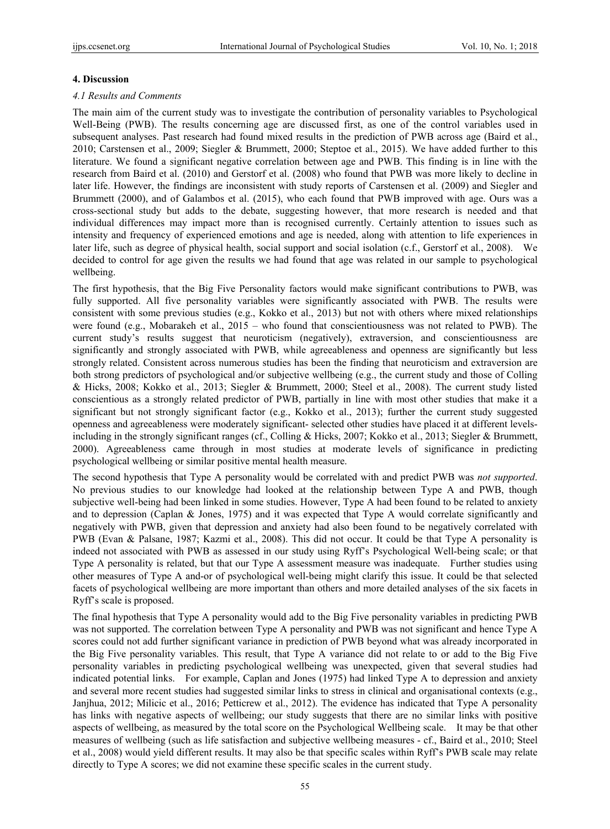#### **4. Discussion**

#### *4.1 Results and Comments*

The main aim of the current study was to investigate the contribution of personality variables to Psychological Well-Being (PWB). The results concerning age are discussed first, as one of the control variables used in subsequent analyses. Past research had found mixed results in the prediction of PWB across age (Baird et al., 2010; Carstensen et al., 2009; Siegler & Brummett, 2000; Steptoe et al., 2015). We have added further to this literature. We found a significant negative correlation between age and PWB. This finding is in line with the research from Baird et al. (2010) and Gerstorf et al. (2008) who found that PWB was more likely to decline in later life. However, the findings are inconsistent with study reports of Carstensen et al. (2009) and Siegler and Brummett (2000), and of Galambos et al. (2015), who each found that PWB improved with age. Ours was a cross-sectional study but adds to the debate, suggesting however, that more research is needed and that individual differences may impact more than is recognised currently. Certainly attention to issues such as intensity and frequency of experienced emotions and age is needed, along with attention to life experiences in later life, such as degree of physical health, social support and social isolation (c.f., Gerstorf et al., 2008). We decided to control for age given the results we had found that age was related in our sample to psychological wellbeing.

The first hypothesis, that the Big Five Personality factors would make significant contributions to PWB, was fully supported. All five personality variables were significantly associated with PWB. The results were consistent with some previous studies (e.g., Kokko et al., 2013) but not with others where mixed relationships were found (e.g., Mobarakeh et al., 2015 – who found that conscientiousness was not related to PWB). The current study's results suggest that neuroticism (negatively), extraversion, and conscientiousness are significantly and strongly associated with PWB, while agreeableness and openness are significantly but less strongly related. Consistent across numerous studies has been the finding that neuroticism and extraversion are both strong predictors of psychological and/or subjective wellbeing (e.g., the current study and those of Colling & Hicks, 2008; Kokko et al., 2013; Siegler & Brummett, 2000; Steel et al., 2008). The current study listed conscientious as a strongly related predictor of PWB, partially in line with most other studies that make it a significant but not strongly significant factor (e.g., Kokko et al., 2013); further the current study suggested openness and agreeableness were moderately significant- selected other studies have placed it at different levelsincluding in the strongly significant ranges (cf., Colling & Hicks, 2007; Kokko et al., 2013; Siegler & Brummett, 2000). Agreeableness came through in most studies at moderate levels of significance in predicting psychological wellbeing or similar positive mental health measure.

The second hypothesis that Type A personality would be correlated with and predict PWB was *not supported*. No previous studies to our knowledge had looked at the relationship between Type A and PWB, though subjective well-being had been linked in some studies. However, Type A had been found to be related to anxiety and to depression (Caplan & Jones, 1975) and it was expected that Type A would correlate significantly and negatively with PWB, given that depression and anxiety had also been found to be negatively correlated with PWB (Evan & Palsane, 1987; Kazmi et al., 2008). This did not occur. It could be that Type A personality is indeed not associated with PWB as assessed in our study using Ryff's Psychological Well-being scale; or that Type A personality is related, but that our Type A assessment measure was inadequate. Further studies using other measures of Type A and-or of psychological well-being might clarify this issue. It could be that selected facets of psychological wellbeing are more important than others and more detailed analyses of the six facets in Ryff's scale is proposed.

The final hypothesis that Type A personality would add to the Big Five personality variables in predicting PWB was not supported. The correlation between Type A personality and PWB was not significant and hence Type A scores could not add further significant variance in prediction of PWB beyond what was already incorporated in the Big Five personality variables. This result, that Type A variance did not relate to or add to the Big Five personality variables in predicting psychological wellbeing was unexpected, given that several studies had indicated potential links. For example, Caplan and Jones (1975) had linked Type A to depression and anxiety and several more recent studies had suggested similar links to stress in clinical and organisational contexts (e.g., Janjhua, 2012; Milicic et al., 2016; Petticrew et al., 2012). The evidence has indicated that Type A personality has links with negative aspects of wellbeing; our study suggests that there are no similar links with positive aspects of wellbeing, as measured by the total score on the Psychological Wellbeing scale. It may be that other measures of wellbeing (such as life satisfaction and subjective wellbeing measures - cf., Baird et al., 2010; Steel et al., 2008) would yield different results. It may also be that specific scales within Ryff's PWB scale may relate directly to Type A scores; we did not examine these specific scales in the current study.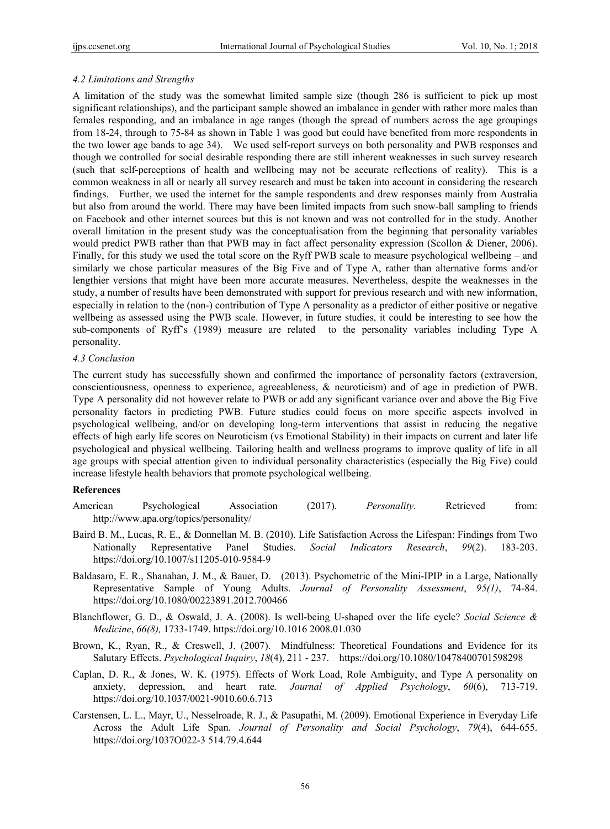#### *4.2 Limitations and Strengths*

A limitation of the study was the somewhat limited sample size (though 286 is sufficient to pick up most significant relationships), and the participant sample showed an imbalance in gender with rather more males than females responding, and an imbalance in age ranges (though the spread of numbers across the age groupings from 18-24, through to 75-84 as shown in Table 1 was good but could have benefited from more respondents in the two lower age bands to age 34). We used self-report surveys on both personality and PWB responses and though we controlled for social desirable responding there are still inherent weaknesses in such survey research (such that self-perceptions of health and wellbeing may not be accurate reflections of reality). This is a common weakness in all or nearly all survey research and must be taken into account in considering the research findings. Further, we used the internet for the sample respondents and drew responses mainly from Australia but also from around the world. There may have been limited impacts from such snow-ball sampling to friends on Facebook and other internet sources but this is not known and was not controlled for in the study. Another overall limitation in the present study was the conceptualisation from the beginning that personality variables would predict PWB rather than that PWB may in fact affect personality expression (Scollon & Diener, 2006). Finally, for this study we used the total score on the Ryff PWB scale to measure psychological wellbeing – and similarly we chose particular measures of the Big Five and of Type A, rather than alternative forms and/or lengthier versions that might have been more accurate measures. Nevertheless, despite the weaknesses in the study, a number of results have been demonstrated with support for previous research and with new information, especially in relation to the (non-) contribution of Type A personality as a predictor of either positive or negative wellbeing as assessed using the PWB scale. However, in future studies, it could be interesting to see how the sub-components of Ryff's (1989) measure are related to the personality variables including Type A personality.

#### *4.3 Conclusion*

The current study has successfully shown and confirmed the importance of personality factors (extraversion, conscientiousness, openness to experience, agreeableness, & neuroticism) and of age in prediction of PWB. Type A personality did not however relate to PWB or add any significant variance over and above the Big Five personality factors in predicting PWB. Future studies could focus on more specific aspects involved in psychological wellbeing, and/or on developing long-term interventions that assist in reducing the negative effects of high early life scores on Neuroticism (vs Emotional Stability) in their impacts on current and later life psychological and physical wellbeing. Tailoring health and wellness programs to improve quality of life in all age groups with special attention given to individual personality characteristics (especially the Big Five) could increase lifestyle health behaviors that promote psychological wellbeing.

#### **References**

- American Psychological Association (2017). *Personality*. Retrieved from: http://www.apa.org/topics/personality/
- Baird B. M., Lucas, R. E., & Donnellan M. B. (2010). Life Satisfaction Across the Lifespan: Findings from Two Nationally Representative Panel Studies. *Social Indicators Research*, *99*(2). 183-203. https://doi.org/10.1007/s11205-010-9584-9
- Baldasaro, E. R., Shanahan, J. M., & Bauer, D. (2013). Psychometric of the Mini-IPIP in a Large, Nationally Representative Sample of Young Adults. *Journal of Personality Assessment*, *95(1)*, 74-84. https://doi.org/10.1080/00223891.2012.700466
- Blanchflower, G. D., & Oswald, J. A. (2008). Is well-being U-shaped over the life cycle? *Social Science & Medicine*, *66(8),* 1733-1749. https://doi.org/10.1016 2008.01.030
- Brown, K., Ryan, R., & Creswell, J. (2007). Mindfulness: Theoretical Foundations and Evidence for its Salutary Effects. *Psychological Inquiry*, *18*(4), 211 - 237. https://doi.org/10.1080/10478400701598298
- Caplan, D. R., & Jones, W. K. (1975). Effects of Work Load, Role Ambiguity, and Type A personality on anxiety, depression, and heart rate*. Journal of Applied Psychology*, *60*(6), 713-719. https://doi.org/10.1037/0021-9010.60.6.713
- Carstensen, L. L., Mayr, U., Nesselroade, R. J., & Pasupathi, M. (2009). Emotional Experience in Everyday Life Across the Adult Life Span. *Journal of Personality and Social Psychology*, *79*(4), 644-655. https://doi.org/1037O022-3 514.79.4.644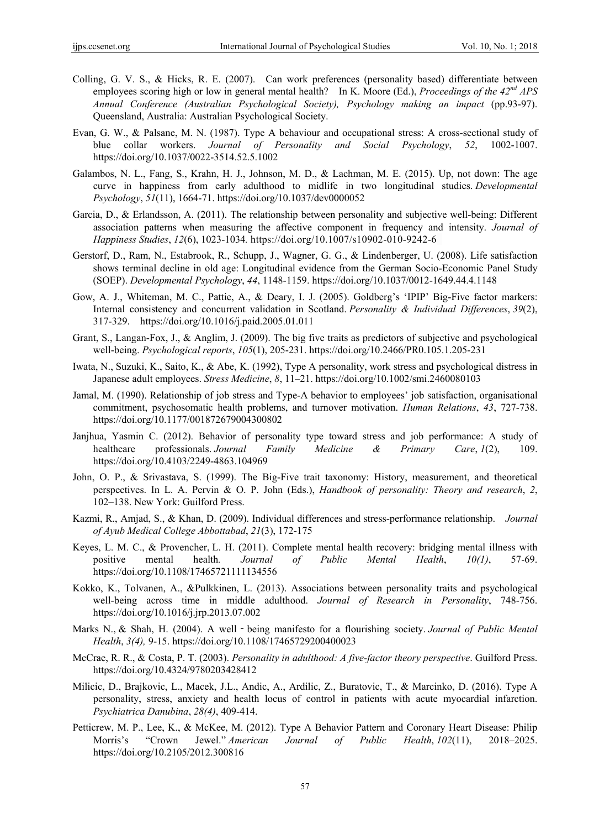- Colling, G. V. S., & Hicks, R. E. (2007). Can work preferences (personality based) differentiate between employees scoring high or low in general mental health? In K. Moore (Ed.), *Proceedings of the 42nd APS Annual Conference (Australian Psychological Society), Psychology making an impact* (pp.93-97). Queensland, Australia: Australian Psychological Society.
- Evan, G. W., & Palsane, M. N. (1987). Type A behaviour and occupational stress: A cross-sectional study of blue collar workers. *Journal of Personality and Social Psychology*, *52*, 1002-1007. https://doi.org/10.1037/0022-3514.52.5.1002
- Galambos, N. L., Fang, S., Krahn, H. J., Johnson, M. D., & Lachman, M. E. (2015). Up, not down: The age curve in happiness from early adulthood to midlife in two longitudinal studies. *Developmental Psychology*, *51*(11), 1664-71. https://doi.org/10.1037/dev0000052
- Garcia, D., & Erlandsson, A. (2011). The relationship between personality and subjective well-being: Different association patterns when measuring the affective component in frequency and intensity. *Journal of Happiness Studies*, *12*(6), 1023-1034*.* https://doi.org/10.1007/s10902-010-9242-6
- Gerstorf, D., Ram, N., Estabrook, R., Schupp, J., Wagner, G. G., & Lindenberger, U. (2008). Life satisfaction shows terminal decline in old age: Longitudinal evidence from the German Socio-Economic Panel Study (SOEP). *Developmental Psychology*, *44*, 1148-1159. https://doi.org/10.1037/0012-1649.44.4.1148
- Gow, A. J., Whiteman, M. C., Pattie, A., & Deary, I. J. (2005). Goldberg's 'IPIP' Big-Five factor markers: Internal consistency and concurrent validation in Scotland. *Personality & Individual Differences*, *39*(2), 317-329. https://doi.org/10.1016/j.paid.2005.01.011
- Grant, S., Langan-Fox, J., & Anglim, J. (2009). The big five traits as predictors of subjective and psychological well-being. *Psychological reports*, *105*(1), 205-231. https://doi.org/10.2466/PR0.105.1.205-231
- Iwata, N., Suzuki, K., Saito, K., & Abe, K. (1992), Type A personality, work stress and psychological distress in Japanese adult employees. *Stress Medicine*, *8*, 11–21. https://doi.org/10.1002/smi.2460080103
- Jamal, M. (1990). Relationship of job stress and Type-A behavior to employees' job satisfaction, organisational commitment, psychosomatic health problems, and turnover motivation. *Human Relations*, *43*, 727-738. https://doi.org/10.1177/001872679004300802
- Janjhua, Yasmin C. (2012). Behavior of personality type toward stress and job performance: A study of healthcare professionals. *Journal Family Medicine & Primary Care*, *1*(2), 109. https://doi.org/10.4103/2249-4863.104969
- John, O. P., & Srivastava, S. (1999). The Big-Five trait taxonomy: History, measurement, and theoretical perspectives. In L. A. Pervin & O. P. John (Eds.), *Handbook of personality: Theory and research*, *2*, 102–138. New York: Guilford Press.
- Kazmi, R., Amjad, S., & Khan, D. (2009). Individual differences and stress-performance relationship. *Journal of Ayub Medical College Abbottabad*, *21*(3), 172-175
- Keyes, L. M. C., & Provencher, L. H. (2011). Complete mental health recovery: bridging mental illness with positive mental health*. Journal of Public Mental Health*, *10(1)*, 57-69. https://doi.org/10.1108/17465721111134556
- Kokko, K., Tolvanen, A., &Pulkkinen, L. (2013). Associations between personality traits and psychological well-being across time in middle adulthood. *Journal of Research in Personality*, 748-756. https://doi.org/10.1016/j.jrp.2013.07.002
- Marks N., & Shah, H. (2004). A well being manifesto for a flourishing society. *Journal of Public Mental Health*, *3(4),* 9-15. https://doi.org/10.1108/17465729200400023
- McCrae, R. R., & Costa, P. T. (2003). *Personality in adulthood: A five-factor theory perspective*. Guilford Press. https://doi.org/10.4324/9780203428412
- Milicic, D., Brajkovic, L., Macek, J.L., Andic, A., Ardilic, Z., Buratovic, T., & Marcinko, D. (2016). Type A personality, stress, anxiety and health locus of control in patients with acute myocardial infarction. *Psychiatrica Danubina*, *28(4)*, 409-414.
- Petticrew, M. P., Lee, K., & McKee, M. (2012). Type A Behavior Pattern and Coronary Heart Disease: Philip Morris's "Crown Jewel." *American Journal of Public Health*, *102*(11), 2018–2025. https://doi.org/10.2105/2012.300816